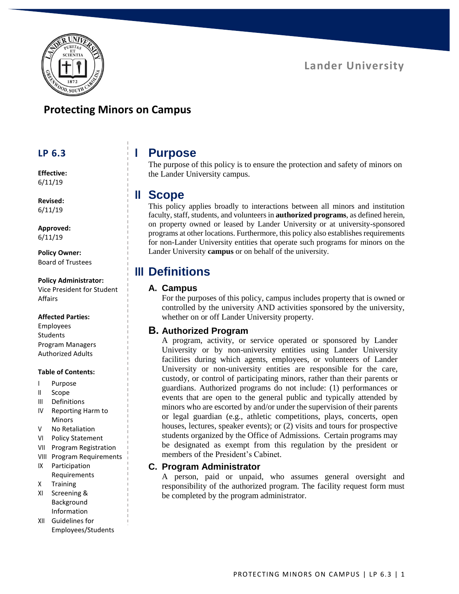

### **Protecting Minors on Campus**

#### **LP 6.3**

**Effective:** 6/11/19

**Revised:** 6/11/19

**Approved:** 6/11/19

**Policy Owner:** Board of Trustees

**Policy Administrator:**

Vice President for Student Affairs

#### **Affected Parties:**

Employees **Students** Program Managers Authorized Adults

#### **Table of Contents:**

- I Purpose
- II Scope
- III Definitions
- IV Reporting Harm to Minors
- V No Retaliation
- VI Policy Statement
- VII Program Registration
- VIII Program Requirements
- IX Participation Requirements
- X Training
- XI Screening & Background Information
- XII Guidelines for Employees/Students

## **I Purpose**

The purpose of this policy is to ensure the protection and safety of minors on the Lander University campus.

### **II Scope**

This policy applies broadly to interactions between all minors and institution faculty, staff, students, and volunteers in **authorized programs**, as defined herein, on property owned or leased by Lander University or at university-sponsored programs at other locations. Furthermore, this policy also establishes requirements for non-Lander University entities that operate such programs for minors on the Lander University **campus** or on behalf of the university.

## **III Definitions**

#### **A. Campus**

For the purposes of this policy, campus includes property that is owned or controlled by the university AND activities sponsored by the university, whether on or off Lander University property.

#### **B. Authorized Program**

A program, activity, or service operated or sponsored by Lander University or by non-university entities using Lander University facilities during which agents, employees, or volunteers of Lander University or non-university entities are responsible for the care, custody, or control of participating minors, rather than their parents or guardians. Authorized programs do not include: (1) performances or events that are open to the general public and typically attended by minors who are escorted by and/or under the supervision of their parents or legal guardian (e.g., athletic competitions, plays, concerts, open houses, lectures, speaker events); or (2) visits and tours for prospective students organized by the Office of Admissions. Certain programs may be designated as exempt from this regulation by the president or members of the President's Cabinet.

#### **C. Program Administrator**

A person, paid or unpaid, who assumes general oversight and responsibility of the authorized program. The facility request form must be completed by the program administrator.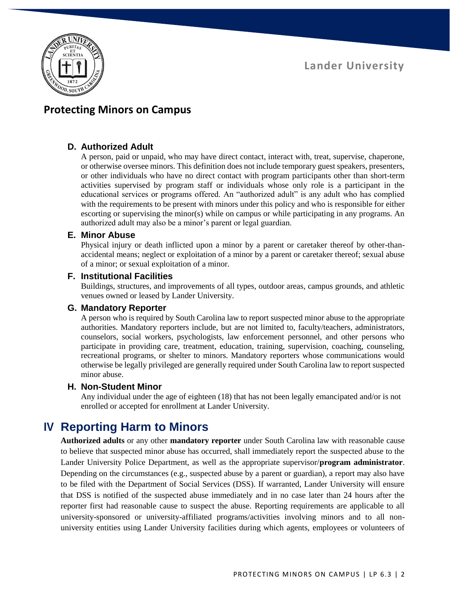

### **Protecting Minors on Campus**

#### **D. Authorized Adult**

A person, paid or unpaid, who may have direct contact, interact with, treat, supervise, chaperone, or otherwise oversee minors. This definition does not include temporary guest speakers, presenters, or other individuals who have no direct contact with program participants other than short-term activities supervised by program staff or individuals whose only role is a participant in the educational services or programs offered. An "authorized adult" is any adult who has complied with the requirements to be present with minors under this policy and who is responsible for either escorting or supervising the minor(s) while on campus or while participating in any programs. An authorized adult may also be a minor's parent or legal guardian.

#### **E. Minor Abuse**

Physical injury or death inflicted upon a minor by a parent or caretaker thereof by other-thanaccidental means; neglect or exploitation of a minor by a parent or caretaker thereof; sexual abuse of a minor; or sexual exploitation of a minor.

#### **F. Institutional Facilities**

Buildings, structures, and improvements of all types, outdoor areas, campus grounds, and athletic venues owned or leased by Lander University.

#### **G. Mandatory Reporter**

A person who is required by South Carolina law to report suspected minor abuse to the appropriate authorities. Mandatory reporters include, but are not limited to, faculty/teachers, administrators, counselors, social workers, psychologists, law enforcement personnel, and other persons who participate in providing care, treatment, education, training, supervision, coaching, counseling, recreational programs, or shelter to minors. Mandatory reporters whose communications would otherwise be legally privileged are generally required under South Carolina law to report suspected minor abuse.

#### **H. Non-Student Minor**

Any individual under the age of eighteen (18) that has not been legally emancipated and/or is not enrolled or accepted for enrollment at Lander University.

### **IV Reporting Harm to Minors**

**Authorized adults** or any other **mandatory reporter** under South Carolina law with reasonable cause to believe that suspected minor abuse has occurred, shall immediately report the suspected abuse to the Lander University Police Department, as well as the appropriate supervisor/**program administrator**. Depending on the circumstances (e.g., suspected abuse by a parent or guardian), a report may also have to be filed with the Department of Social Services (DSS). If warranted, Lander University will ensure that DSS is notified of the suspected abuse immediately and in no case later than 24 hours after the reporter first had reasonable cause to suspect the abuse. Reporting requirements are applicable to all university-sponsored or university-affiliated programs/activities involving minors and to all nonuniversity entities using Lander University facilities during which agents, employees or volunteers of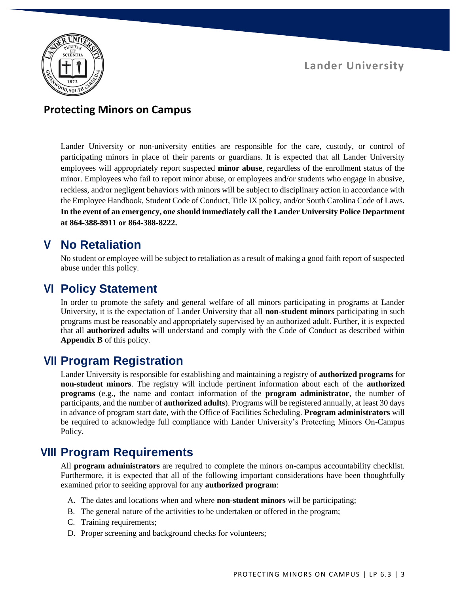

### **Protecting Minors on Campus**

Lander University or non-university entities are responsible for the care, custody, or control of participating minors in place of their parents or guardians. It is expected that all Lander University employees will appropriately report suspected **minor abuse**, regardless of the enrollment status of the minor. Employees who fail to report minor abuse, or employees and/or students who engage in abusive, reckless, and/or negligent behaviors with minors will be subject to disciplinary action in accordance with the Employee Handbook, Student Code of Conduct, Title IX policy, and/or South Carolina Code of Laws. **In the event of an emergency, one should immediately call the Lander University Police Department at 864-388-8911 or 864-388-8222.**

# **V No Retaliation**

No student or employee will be subject to retaliation as a result of making a good faith report of suspected abuse under this policy.

## **VI Policy Statement**

In order to promote the safety and general welfare of all minors participating in programs at Lander University, it is the expectation of Lander University that all **non-student minors** participating in such programs must be reasonably and appropriately supervised by an authorized adult. Further, it is expected that all **authorized adults** will understand and comply with the Code of Conduct as described within **Appendix B** of this policy.

# **VII Program Registration**

Lander University is responsible for establishing and maintaining a registry of **authorized programs** for **non-student minors**. The registry will include pertinent information about each of the **authorized programs** (e.g., the name and contact information of the **program administrator**, the number of participants, and the number of **authorized adults**). Programs will be registered annually, at least 30 days in advance of program start date, with the Office of Facilities Scheduling. **Program administrators** will be required to acknowledge full compliance with Lander University's Protecting Minors On-Campus Policy.

## **VIII Program Requirements**

All **program administrators** are required to complete the minors on-campus accountability checklist. Furthermore, it is expected that all of the following important considerations have been thoughtfully examined prior to seeking approval for any **authorized program**:

- A. The dates and locations when and where **non-student minors** will be participating;
- B. The general nature of the activities to be undertaken or offered in the program;
- C. Training requirements;
- D. Proper screening and background checks for volunteers;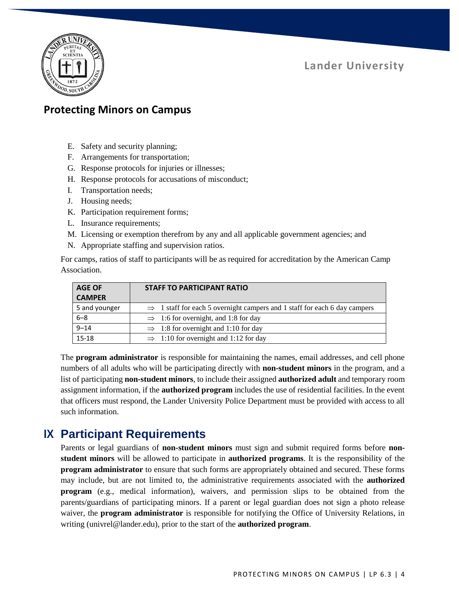

### **Protecting Minors on Campus**

- E. Safety and security planning;
- F. Arrangements for transportation;
- G. Response protocols for injuries or illnesses;
- H. Response protocols for accusations of misconduct;
- I. Transportation needs;
- J. Housing needs;
- K. Participation requirement forms;
- L. Insurance requirements;
- M. Licensing or exemption therefrom by any and all applicable government agencies; and
- N. Appropriate staffing and supervision ratios.

For camps, ratios of staff to participants will be as required for accreditation by the American Camp Association.

| <b>AGE OF</b> | <b>STAFF TO PARTICIPANT RATIO</b>                                                     |
|---------------|---------------------------------------------------------------------------------------|
| <b>CAMPER</b> |                                                                                       |
| 5 and younger | $\Rightarrow$ 1 staff for each 5 overnight campers and 1 staff for each 6 day campers |
| $6 - 8$       | $\implies$ 1:6 for overnight, and 1:8 for day                                         |
| $9 - 14$      | $\Rightarrow$ 1:8 for overnight and 1:10 for day                                      |
| 15-18         | $\implies$ 1:10 for overnight and 1:12 for day                                        |

The **program administrator** is responsible for maintaining the names, email addresses, and cell phone numbers of all adults who will be participating directly with **non-student minors** in the program, and a list of participating **non-student minors**, to include their assigned **authorized adult** and temporary room assignment information, if the **authorized program** includes the use of residential facilities. In the event that officers must respond, the Lander University Police Department must be provided with access to all such information.

# **IX Participant Requirements**

Parents or legal guardians of **non-student minors** must sign and submit required forms before **nonstudent minors** will be allowed to participate in **authorized programs**. It is the responsibility of the **program administrator** to ensure that such forms are appropriately obtained and secured. These forms may include, but are not limited to, the administrative requirements associated with the **authorized program** (e.g., medical information), waivers, and permission slips to be obtained from the parents/guardians of participating minors. If a parent or legal guardian does not sign a photo release waiver, the **program administrator** is responsible for notifying the Office of University Relations, in writing [\(univrel@lander.edu\)](mailto:univrel@lander.edu), prior to the start of the **authorized program**.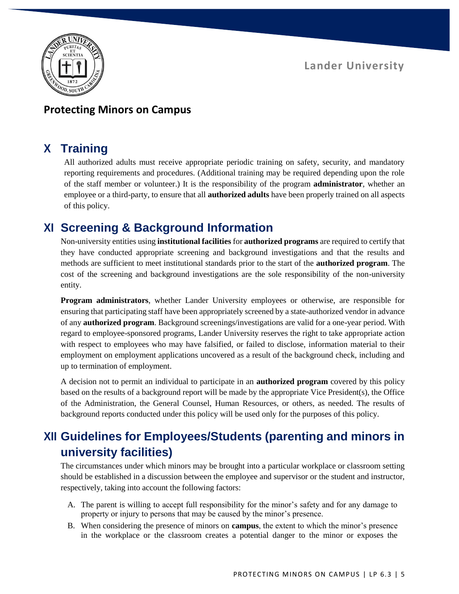$20, 500$ 

### **Lander University**

#### **Protecting Minors on Campus**

## **X Training**

All authorized adults must receive appropriate periodic training on safety, security, and mandatory reporting requirements and procedures. (Additional training may be required depending upon the role of the staff member or volunteer.) It is the responsibility of the program **administrator**, whether an employee or a third-party, to ensure that all **authorized adults** have been properly trained on all aspects of this policy.

## **XI Screening & Background Information**

Non-university entities using **institutional facilities** for **authorized programs** are required to certify that they have conducted appropriate screening and background investigations and that the results and methods are sufficient to meet institutional standards prior to the start of the **authorized program**. The cost of the screening and background investigations are the sole responsibility of the non-university entity.

**Program administrators**, whether Lander University employees or otherwise, are responsible for ensuring that participating staff have been appropriately screened by a state-authorized vendor in advance of any **authorized program**. Background screenings/investigations are valid for a one-year period. With regard to employee-sponsored programs, Lander University reserves the right to take appropriate action with respect to employees who may have falsified, or failed to disclose, information material to their employment on employment applications uncovered as a result of the background check, including and up to termination of employment.

A decision not to permit an individual to participate in an **authorized program** covered by this policy based on the results of a background report will be made by the appropriate Vice President(s), the Office of the Administration, the General Counsel, Human Resources, or others, as needed. The results of background reports conducted under this policy will be used only for the purposes of this policy.

# **XII Guidelines for Employees/Students (parenting and minors in university facilities)**

The circumstances under which minors may be brought into a particular workplace or classroom setting should be established in a discussion between the employee and supervisor or the student and instructor, respectively, taking into account the following factors:

- A. The parent is willing to accept full responsibility for the minor's safety and for any damage to property or injury to persons that may be caused by the minor's presence.
- B. When considering the presence of minors on **campus**, the extent to which the minor's presence in the workplace or the classroom creates a potential danger to the minor or exposes the